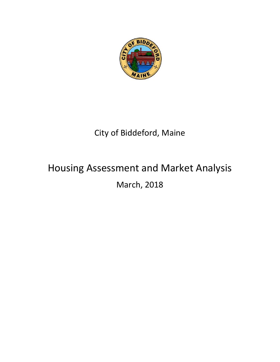

## City of Biddeford, Maine

# Housing Assessment and Market Analysis March, 2018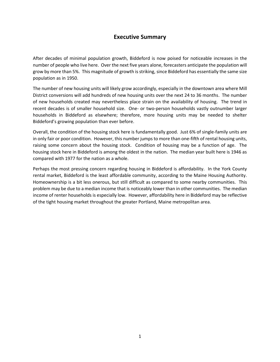## **Executive Summary**

After decades of minimal population growth, Biddeford is now poised for noticeable increases in the number of people who live here. Over the next five years alone, forecasters anticipate the population will grow by more than 5%. This magnitude of growth is striking, since Biddeford has essentially the same size population as in 1950.

The number of new housing units will likely grow accordingly, especially in the downtown area where Mill District conversions will add hundreds of new housing units over the next 24 to 36 months. The number of new households created may nevertheless place strain on the availability of housing. The trend in recent decades is of smaller household size. One- or two-person households vastly outnumber larger households in Biddeford as elsewhere; therefore, more housing units may be needed to shelter Biddeford's growing population than ever before.

Overall, the condition of the housing stock here is fundamentally good. Just 6% of single-family units are in only fair or poor condition. However, this number jumps to more than one-fifth of rental housing units, raising some concern about the housing stock. Condition of housing may be a function of age. The housing stock here in Biddeford is among the oldest in the nation. The median year built here is 1946 as compared with 1977 for the nation as a whole.

Perhaps the most pressing concern regarding housing in Biddeford is affordability. In the York County rental market, Biddeford is the least affordable community, according to the Maine Housing Authority. Homeownership is a bit less onerous, but still difficult as compared to some nearby communities. This problem may be due to a median income that is noticeably lower than in other communities. The median income of renter households is especially low. However, affordability here in Biddeford may be reflective of the tight housing market throughout the greater Portland, Maine metropolitan area.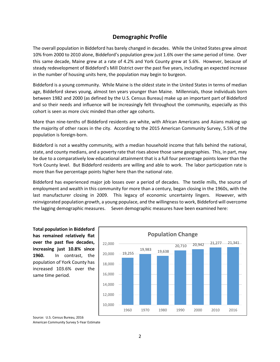## **Demographic Profile**

The overall population in Biddeford has barely changed in decades. While the United States grew almost 10% from 2000 to 2010 alone, Biddeford's population grew just 1.6% over the same period of time. Over this same decade, Maine grew at a rate of 4.2% and York County grew at 5.6%. However, because of steady redevelopment of Biddeford's Mill District over the past five years, including an expected increase in the number of housing units here, the population may begin to burgeon.

Biddeford is a young community. While Maine is the oldest state in the United States in terms of median age, Biddeford skews young, almost ten years younger than Maine. Millennials, those individuals born between 1982 and 2000 (as defined by the U.S. Census Bureau) make up an important part of Biddeford and so their needs and influence will be increasingly felt throughout the community, especially as this cohort is seen as more civic minded than other age cohorts.

More than nine-tenths of Biddeford residents are white, with African Americans and Asians making up the majority of other races in the city. According to the 2015 American Community Survey, 5.5% of the population is foreign-born.

Biddeford is not a wealthy community, with a median household income that falls behind the national, state, and county medians, and a poverty rate that rises above those same geographies. This, in part, may be due to a comparatively low educational attainment that is a full four percentage points lower than the York County level. But Biddeford residents are willing and able to work. The labor participation rate is more than five percentage points higher here than the national rate.

Biddeford has experienced major job losses over a period of decades. The textile mills, the source of employment and wealth in this community for more than a century, began closing in the 1960s, with the last manufacturer closing in 2009. This legacy of economic uncertainty lingers. However, with reinvigorated population growth, a young populace, and the willingness to work, Biddeford will overcome the lagging demographic measures. Seven demographic measures have been examined here:

**Total population in Biddeford has remained relatively flat over the past five decades, increasing just 10.8% since 1960.** In contrast, the population of York County has increased 103.6% over the same time period.



Source: U.S. Census Bureau, 2016 American Community Survey 5-Year Estimate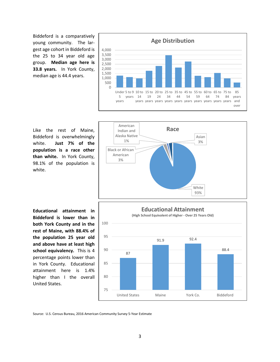Biddeford is a comparatively young community. The largest age cohort in Biddeford is the 25 to 34 year old age group. **Median age here is 33.8 years.** In York County, median age is 44.4 years.



Like the rest of Maine, Biddeford is overwhelmingly white. **Just 7% of the population is a race other than white.** In York County, 98.1% of the population is white.



**Educational attainment in Biddeford is lower than in both York County and in the rest of Maine, with 88.4% of the population 25 year old and above have at least high school equivalency.** This is 4 percentage points lower than in York County. Educational attainment here is 1.4% higher than I the overall United States.



Source: U.S. Census Bureau, 2016 American Community Survey 5-Year Estimate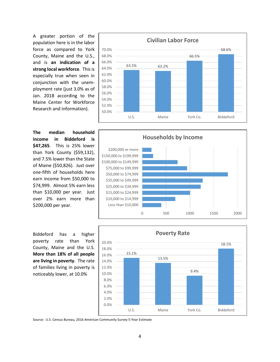A greater portion of the population here is in the labor force as compared to York County, Maine and the U.S., and is **an indication of a strong local workforce**. This is especially true when seen in conjunction with the unemployment rate (just 3.0% as of Jan. 2018 according to the Maine Center for Workforce Research and Information).

**The median household income in Biddeford is \$47,265**. This is 25% lower than York County (\$59,132), and 7.5% lower than the State of Maine (\$50,826). Just over one-fifth of households here earn income from \$50,000 to \$74,999. Almost 5% earn less than \$10,000 per year. Just over 2% earn more than \$200,000 per year.

Biddeford has a higher poverty rate than York County, Maine and the U.S. **More than 18% of all people are living in poverty**. The rate of families living in poverty is noticeably lower, at 10.0%









4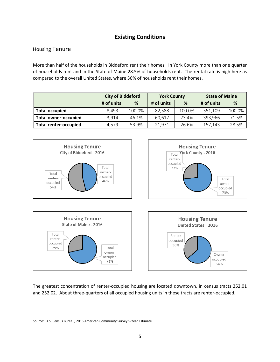## **Existing Conditions**

#### **Housing Tenure**

More than half of the households in Biddeford rent their homes. In York County more than one quarter of households rent and in the State of Maine 28.5% of households rent. The rental rate is high here as compared to the overall United States, where 36% of households rent their homes.

|                              | <b>City of Biddeford</b> |                      | <b>York County</b> |        | <b>State of Maine</b> |        |
|------------------------------|--------------------------|----------------------|--------------------|--------|-----------------------|--------|
|                              | # of units               | # of units<br>%<br>% |                    |        | # of units            | %      |
| <b>Total occupied</b>        | 8.493                    | 100.0%               | 82.588             | 100.0% | 551,109               | 100.0% |
| <b>Total owner-occupied</b>  | 3.914                    | 46.1%                | 60.617             | 73.4%  | 393,966               | 71.5%  |
| <b>Total renter-occupied</b> | 4,579                    | 53.9%                | 21.971             | 26.6%  | 157,143               | 28.5%  |



The greatest concentration of renter-occupied housing are located downtown, in census tracts 252.01 and 252.02. About three-quarters of all occupied housing units in these tracts are renter-occupied.

Source: U.S. Census Bureau, 2016 American Community Survey 5-Year Estimate.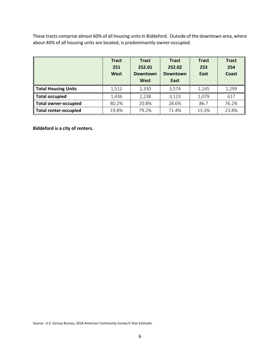These tracts comprise almost 60% of all housing units in Biddeford. Outside of the downtown area, where about 40% of all housing units are located, is predominantly owner-occupied.

|                             | <b>Tract</b><br>251<br><b>West</b> | <b>Tract</b><br>252.01<br><b>Downtown</b><br><b>West</b> | <b>Tract</b><br>252.02<br><b>Downtown</b><br>East | <b>Tract</b><br>253<br>East | <b>Tract</b><br>254<br>Coast |
|-----------------------------|------------------------------------|----------------------------------------------------------|---------------------------------------------------|-----------------------------|------------------------------|
| <b>Total Housing Units</b>  | 1,512                              | 2,330                                                    | 3,574                                             | 1,145                       | 1,299                        |
| <b>Total occupied</b>       | 1,436                              | 2,238                                                    | 3,123                                             | 1,079                       | 617                          |
| <b>Total owner-occupied</b> | 80.2%                              | 20.8%                                                    | 28.6%                                             | 86.7                        | 76.2%                        |
| Total renter-occupied       | 19.8%                              | 79.2%                                                    | 71.4%                                             | 13.3%                       | 23.8%                        |

**Biddeford is a city of renters.**

Source: U.S. Census Bureau, 2016 American Community Survey 5-Year Estimate.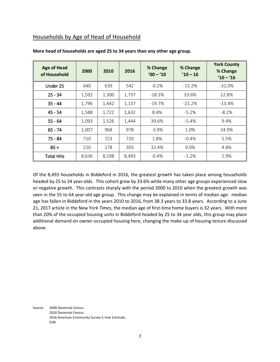## Households by Age of Head of Household

| <b>Age of Head</b><br>of Household | 2000  | 2010  | 2016  | % Change<br>$'00 - 10$ | % Change<br>$'10 - 16$ | <b>York County</b><br>% Change<br>$'10 - 16$ |
|------------------------------------|-------|-------|-------|------------------------|------------------------|----------------------------------------------|
| Under 25                           | 640   | 639   | 542   | $-0.2%$                | $-15.2%$               | $-31.0%$                                     |
| $25 - 34$                          | 1,592 | 1,300 | 1,737 | $-18.3%$               | 33.6%                  | 12.8%                                        |
| $35 - 44$                          | 1,796 | 1,442 | 1,137 | $-19.7%$               | $-21.2%$               | $-13.4%$                                     |
| $45 - 54$                          | 1,588 | 1,722 | 1,632 | 8.4%                   | $-5.2%$                | $-8.2%$                                      |
| $55 - 64$                          | 1,093 | 1,526 | 1,444 | 39.6%                  | $-5.4%$                | 9.4%                                         |
| $65 - 74$                          | 1,007 | 968   | 978   | $-3.9%$                | 1.0%                   | 24.9%                                        |
| $75 - 84$                          | 710   | 723   | 720   | 1.8%                   | $-0.4%$                | 5.5%                                         |
| $85 +$                             | 210   | 278   | 303   | 32.4%                  | 9.0%                   | 4.8%                                         |
| <b>Total HHs</b>                   | 8,636 | 8,598 | 8,493 | $-0.4%$                | $-1.2%$                | 1.9%                                         |

#### **More head of households are aged 25 to 34 years than any other age group.**

Of the 8,493 households in Biddeford in 2016, the greatest growth has taken place among households headed by 25 to 34 year-olds. This cohort grew by 33.6% while many other age groups experienced slow or negative growth. This contrasts sharply with the period 2000 to 2010 when the greatest growth was seen in the 55 to 64 year-old age group. This change may be explained in terms of median age: median age has fallen in Biddeford in the years 2010 to 2016, from 38.3 years to 33.8 years. According to a June 21, 2017 article in the New York *Times*, the median age of first-time home buyers is 32 years. With more than 20% of the occupied housing units in Biddeford headed by 25 to 34 year olds, this group may place additional demand on owner-occupied housing here, changing the make-up of housing tenure discussed above.

Source: 2000 Decennial Census 2010 Decennial Census 2016 American Community Survey 5-Year Estimate. ESRI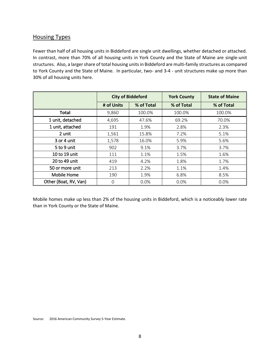### Housing Types

Fewer than half of all housing units in Biddeford are single unit dwellings, whether detached or attached. In contrast, more than 70% of all housing units in York County and the State of Maine are single-unit structures. Also, a larger share of total housing units in Biddeford are multi-family structures as compared to York County and the State of Maine. In particular, two- and 3-4 - unit structures make up more than 30% of all housing units here.

|                       |            | <b>City of Biddeford</b> | <b>York County</b> | <b>State of Maine</b> |
|-----------------------|------------|--------------------------|--------------------|-----------------------|
|                       | # of Units | % of Total               | % of Total         | % of Total            |
| <b>Total</b>          | 9,860      | 100.0%                   | 100.0%             | 100.0%                |
| 1 unit, detached      | 4,695      | 47.6%                    | 69.2%              | 70.0%                 |
| 1 unit, attached      | 191        | 1.9%                     | 2.8%               | 2.3%                  |
| 2 unit                | 1,561      | 15.8%                    | 7.2%               | 5.1%                  |
| 3 or 4 unit           | 1,578      | 16.0%                    | 5.9%               | 5.6%                  |
| 5 to 9 unit           | 902        | 9.1%                     | 3.7%               | 3.7%                  |
| 10 to 19 unit         | 111        | 1.1%                     | 1.5%               | 1.6%                  |
| 20 to 49 unit         | 419        | 4.2%                     | 1.8%               | 1.7%                  |
| 50 or more unit       | 213        | 2.2%                     | 1.1%               | 1.4%                  |
| Mobile Home           | 190        | 1.9%                     | 6.8%               | 8.5%                  |
| Other (Boat, RV, Van) | 0          | 0.0%                     | 0.0%               | 0.0%                  |

Mobile homes make up less than 2% of the housing units in Biddeford, which is a noticeably lower rate than in York County or the State of Maine.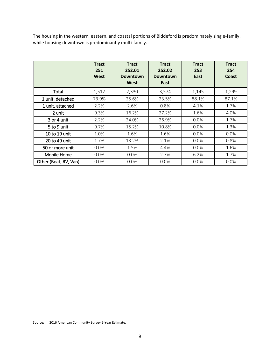The housing in the western, eastern, and coastal portions of Biddeford is predominately single-family, while housing downtown is predominantly multi-family.

|                       | <b>Tract</b><br>251<br>West | <b>Tract</b><br>252.01<br><b>Downtown</b><br>West | <b>Tract</b><br>252.02<br><b>Downtown</b><br>East | <b>Tract</b><br>253<br>East | <b>Tract</b><br>254<br>Coast |
|-----------------------|-----------------------------|---------------------------------------------------|---------------------------------------------------|-----------------------------|------------------------------|
| Total                 | 1,512                       | 2,330                                             | 3,574                                             | 1,145                       | 1,299                        |
| 1 unit, detached      | 73.9%                       | 25.6%                                             | 23.5%                                             | 88.1%                       | 87.1%                        |
| 1 unit, attached      | 2.2%                        | 2.6%                                              | 0.8%                                              | 4.1%                        | 1.7%                         |
| 2 unit                | 9.3%                        | 16.2%                                             | 27.2%                                             | 1.6%                        | 4.0%                         |
| 3 or 4 unit           | 2.2%                        | 24.0%                                             | 26.9%                                             | $0.0\%$                     | 1.7%                         |
| 5 to 9 unit           | 9.7%                        | 15.2%                                             | 10.8%                                             | $0.0\%$                     | 1.3%                         |
| 10 to 19 unit         | 1.0%                        | 1.6%                                              | 1.6%                                              | $0.0\%$                     | 0.0%                         |
| 20 to 49 unit         | 1.7%                        | 13.2%                                             | 2.1%                                              | $0.0\%$                     | 0.8%                         |
| 50 or more unit       | $0.0\%$                     | 1.5%                                              | 4.4%                                              | $0.0\%$                     | 1.6%                         |
| Mobile Home           | 0.0%                        | $0.0\%$                                           | 2.7%                                              | 6.2%                        | 1.7%                         |
| Other (Boat, RV, Van) | 0.0%                        | 0.0%                                              | 0.0%                                              | 0.0%                        | 0.0%                         |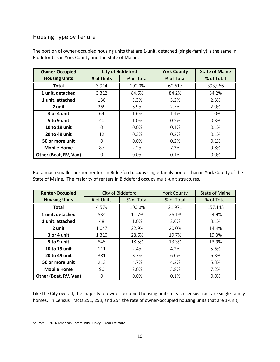## Housing Type by Tenure

| <b>Owner-Occupied</b> | <b>City of Biddeford</b> |            | <b>York County</b> | <b>State of Maine</b> |
|-----------------------|--------------------------|------------|--------------------|-----------------------|
| <b>Housing Units</b>  | # of Units               | % of Total | % of Total         | % of Total            |
| Total                 | 3,914                    | 100.0%     | 60,617             | 393,966               |
| 1 unit, detached      | 3,312                    | 84.6%      | 84.2%              | 84.2%                 |
| 1 unit, attached      | 130                      | 3.3%       | 3.2%               | 2.3%                  |
| 2 unit                | 269                      | 6.9%       | 2.7%               | 2.0%                  |
| 3 or 4 unit           | 64                       | 1.6%       | 1.4%               | 1.0%                  |
| 5 to 9 unit           | 40                       | 1.0%       | 0.5%               | 0.3%                  |
| 10 to 19 unit         | O                        | 0.0%       | 0.1%               | 0.1%                  |
| 20 to 49 unit         | 12                       | 0.3%       | 0.2%               | 0.1%                  |
| 50 or more unit       | $\Omega$                 | 0.0%       | 0.2%               | 0.1%                  |
| <b>Mobile Home</b>    | 87                       | 2.2%       | 7.3%               | 9.8%                  |
| Other (Boat, RV, Van) | 0                        | 0.0%       | 0.1%               | 0.0%                  |

The portion of owner-occupied housing units that are 1-unit, detached (single-family) is the same in Biddeford as in York County and the State of Maine.

But a much smaller portion renters in Biddeford occupy single-family homes than in York County of the State of Maine. The majority of renters in Biddeford occupy multi-unit structures.

| <b>Renter-Occupied</b> |            | City of Biddeford | <b>York County</b> | <b>State of Maine</b> |
|------------------------|------------|-------------------|--------------------|-----------------------|
| <b>Housing Units</b>   | # of Units | % of Total        | % of Total         | % of Total            |
| <b>Total</b>           | 4,579      | 100.0%            | 21,971             | 157,143               |
| 1 unit, detached       | 534        | 11.7%             | 26.1%              | 24.9%                 |
| 1 unit, attached       | 48         | 1.0%              | 2.6%               | 3.1%                  |
| 2 unit                 | 1,047      | 22.9%             | 20.0%              | 14.4%                 |
| 3 or 4 unit            | 1,310      | 28.6%             | 19.7%              | 19.3%                 |
| 5 to 9 unit            | 845        | 18.5%             | 13.3%              | 13.9%                 |
| 10 to 19 unit          | 111        | 2.4%              | 4.2%               | 5.6%                  |
| 20 to 49 unit          | 381        | 8.3%              | 6.0%               | 6.3%                  |
| 50 or more unit        | 213        | 4.7%              | 4.2%               | 5.3%                  |
| <b>Mobile Home</b>     | 90         | 2.0%              | 3.8%               | 7.2%                  |
| Other (Boat, RV, Van)  | 0          | 0.0%              | 0.1%               | 0.0%                  |

Like the City overall, the majority of owner-occupied housing units in each census tract are single-family homes. In Census Tracts 251, 253, and 254 the rate of owner-occupied housing units that are 1-unit,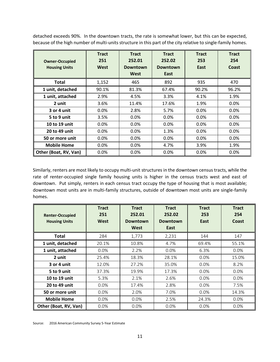detached exceeds 90%. In the downtown tracts, the rate is somewhat lower, but this can be expected, because of the high number of multi-units structure in this part of the city relative to single-family homes.

| <b>Owner-Occupied</b><br><b>Housing Units</b> | <b>Tract</b><br>251<br>West | <b>Tract</b><br>252.01<br><b>Downtown</b><br>West | <b>Tract</b><br>252.02<br><b>Downtown</b><br>East | <b>Tract</b><br>253<br>East | <b>Tract</b><br>254<br>Coast |
|-----------------------------------------------|-----------------------------|---------------------------------------------------|---------------------------------------------------|-----------------------------|------------------------------|
| <b>Total</b>                                  | 1,152                       | 465                                               | 892                                               | 935                         | 470                          |
| 1 unit, detached                              | 90.1%                       | 81.3%                                             | 67.4%                                             | 90.2%                       | 96.2%                        |
| 1 unit, attached                              | 2.9%                        | 4.5%                                              | 3.3%                                              | 4.1%                        | 1.9%                         |
| 2 unit                                        | 3.6%                        | 11.4%                                             | 17.6%                                             | 1.9%                        | 0.0%                         |
| 3 or 4 unit                                   | $0.0\%$                     | 2.8%                                              | 5.7%                                              | $0.0\%$                     | $0.0\%$                      |
| 5 to 9 unit                                   | 3.5%                        | 0.0%                                              | $0.0\%$                                           | $0.0\%$                     | $0.0\%$                      |
| 10 to 19 unit                                 | $0.0\%$                     | 0.0%                                              | $0.0\%$                                           | $0.0\%$                     | $0.0\%$                      |
| 20 to 49 unit                                 | $0.0\%$                     | $0.0\%$                                           | 1.3%                                              | $0.0\%$                     | $0.0\%$                      |
| 50 or more unit                               | $0.0\%$                     | $0.0\%$                                           | $0.0\%$                                           | $0.0\%$                     | $0.0\%$                      |
| <b>Mobile Home</b>                            | 0.0%                        | 0.0%                                              | 4.7%                                              | 3.9%                        | 1.9%                         |
| Other (Boat, RV, Van)                         | 0.0%                        | 0.0%                                              | 0.0%                                              | 0.0%                        | 0.0%                         |

Similarly, renters are most likely to occupy multi-unit structures in the downtown census tracts, while the rate of renter-occupied single family housing units is higher in the census tracts west and east of downtown. Put simply, renters in each census tract occupy the type of housing that is most available; downtown most units are in multi-family structures, outside of downtown most units are single-family homes.

| <b>Renter-Occupied</b><br><b>Housing Units</b> | <b>Tract</b><br>251<br>West | <b>Tract</b><br>252.01<br><b>Downtown</b><br>West | <b>Tract</b><br>252.02<br><b>Downtown</b><br>East | <b>Tract</b><br>253<br>East | <b>Tract</b><br>254<br><b>Coast</b> |
|------------------------------------------------|-----------------------------|---------------------------------------------------|---------------------------------------------------|-----------------------------|-------------------------------------|
| Total                                          | 284                         | 1,773                                             | 2,231                                             | 144                         | 147                                 |
| 1 unit, detached                               | 20.1%                       | 10.8%                                             | 4.7%                                              | 69.4%                       | 55.1%                               |
| 1 unit, attached                               | 0.0%                        | 2.2%                                              | 0.0%                                              | 6.3%                        | 0.0%                                |
| 2 unit                                         | 25.4%                       | 18.3%                                             | 28.1%                                             | $0.0\%$                     | 15.0%                               |
| 3 or 4 unit                                    | 12.0%                       | 27.2%                                             | 35.0%                                             | $0.0\%$                     | 8.2%                                |
| 5 to 9 unit                                    | 37.3%                       | 19.9%                                             | 17.3%                                             | $0.0\%$                     | $0.0\%$                             |
| 10 to 19 unit                                  | 5.3%                        | 2.1%                                              | 2.6%                                              | 0.0%                        | 0.0%                                |
| 20 to 49 unit                                  | $0.0\%$                     | 17.4%                                             | 2.8%                                              | $0.0\%$                     | 7.5%                                |
| 50 or more unit                                | $0.0\%$                     | 2.0%                                              | 7.0%                                              | $0.0\%$                     | 14.3%                               |
| <b>Mobile Home</b>                             | $0.0\%$                     | 0.0%                                              | 2.5%                                              | 24.3%                       | 0.0%                                |
| Other (Boat, RV, Van)                          | 0.0%                        | 0.0%                                              | 0.0%                                              | 0.0%                        | 0.0%                                |

Source: 2016 American Community Survey 5-Year Estimate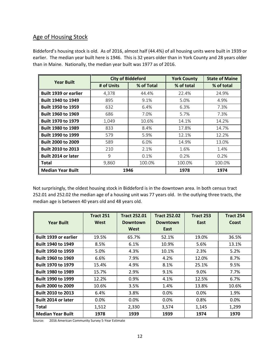## Age of Housing Stock

Biddeford's housing stock is old. As of 2016, almost half (44.4%) of all housing units were built in 1939 or earlier. The median year built here is 1946. This is 32 years older than in York County and 28 years older than in Maine. Nationally, the median year built was 1977 as of 2016.

| <b>Year Built</b>            |            | <b>City of Biddeford</b> | <b>York County</b> | <b>State of Maine</b> |
|------------------------------|------------|--------------------------|--------------------|-----------------------|
|                              | # of Units | % of Total               | % of total         | % of total            |
| <b>Built 1939 or earlier</b> | 4,378      | 44.4%                    | 22.4%              | 24.9%                 |
| <b>Built 1940 to 1949</b>    | 895        | 9.1%                     | 5.0%               | 4.9%                  |
| <b>Built 1950 to 1959</b>    | 632        | 6.4%                     | 6.3%               | 7.3%                  |
| <b>Built 1960 to 1969</b>    | 686        | 7.0%                     | 5.7%               | 7.3%                  |
| <b>Built 1970 to 1979</b>    | 1,049      | 10.6%                    | 14.1%              | 14.2%                 |
| <b>Built 1980 to 1989</b>    | 833        | 8.4%                     | 17.8%              | 14.7%                 |
| <b>Built 1990 to 1999</b>    | 579        | 5.9%                     | 12.1%              | 12.2%                 |
| <b>Built 2000 to 2009</b>    | 589        | 6.0%                     | 14.9%              | 13.0%                 |
| <b>Built 2010 to 2013</b>    | 210        | 2.1%                     | 1.6%               | 1.4%                  |
| <b>Built 2014 or later</b>   | 9          | 0.1%                     | 0.2%               | 0.2%                  |
| Total                        | 9,860      | 100.0%                   | 100.0%             | 100.0%                |
| <b>Median Year Built</b>     |            | 1946                     | 1978               | 1974                  |

Not surprisingly, the oldest housing stock in Biddeford is in the downtown area. In both census tract 252.01 and 252.02 the median age of a housing unit was 77 years old. In the outlying three tracts, the median age is between 40 years old and 48 years old.

|                              | <b>Tract 251</b> | <b>Tract 252.01</b> | <b>Tract 252.02</b> | Tract 253 | Tract 254 |
|------------------------------|------------------|---------------------|---------------------|-----------|-----------|
| <b>Year Built</b>            | West             | <b>Downtown</b>     | <b>Downtown</b>     | East      | Coast     |
|                              |                  | West                | East                |           |           |
| <b>Built 1939 or earlier</b> | 19.5%            | 65.7%               | 52.1%               | 19.0%     | 36.5%     |
| <b>Built 1940 to 1949</b>    | 8.5%             | 6.1%                | 10.9%               | 5.6%      | 13.1%     |
| <b>Built 1950 to 1959</b>    | 5.0%             | 4.3%                | 10.1%               | 2.3%      | 5.2%      |
| <b>Built 1960 to 1969</b>    | 6.6%             | 7.9%                | 4.2%                | 12.0%     | 8.7%      |
| <b>Built 1970 to 1979</b>    | 15.4%            | 4.9%                | 8.1%                | 25.1%     | 9.5%      |
| <b>Built 1980 to 1989</b>    | 15.7%            | 2.9%                | 9.1%                | 9.0%      | 7.7%      |
| <b>Built 1990 to 1999</b>    | 12.2%            | 0.9%                | 4.1%                | 12.5%     | 6.7%      |
| <b>Built 2000 to 2009</b>    | 10.6%            | 3.5%                | 1.4%                | 13.8%     | 10.6%     |
| <b>Built 2010 to 2013</b>    | 6.4%             | 3.8%                | $0.0\%$             | $0.0\%$   | 1.9%      |
| <b>Built 2014 or later</b>   | $0.0\%$          | $0.0\%$             | $0.0\%$             | 0.8%      | $0.0\%$   |
| <b>Total</b>                 | 1,512            | 2,330               | 3,574               | 1,145     | 1,299     |
| <b>Median Year Built</b>     | 1978             | 1939                | 1939                | 1974      | 1970      |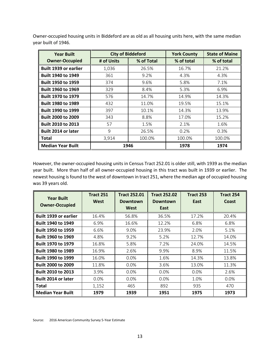Owner-occupied housing units in Biddeford are as old as all housing units here, with the same median year built of 1946.

| <b>Year Built</b>            | <b>City of Biddeford</b> |            | <b>York County</b> | <b>State of Maine</b> |
|------------------------------|--------------------------|------------|--------------------|-----------------------|
| <b>Owner-Occupied</b>        | # of Units               | % of Total | % of total         | % of total            |
| <b>Built 1939 or earlier</b> | 1,036                    | 26.5%      | 16.7%              | 21.2%                 |
| <b>Built 1940 to 1949</b>    | 361                      | 9.2%       | 4.3%               | 4.3%                  |
| <b>Built 1950 to 1959</b>    | 374                      | 9.6%       | 5.8%               | 7.1%                  |
| <b>Built 1960 to 1969</b>    | 329                      | 8.4%       | 5.3%               | 6.9%                  |
| <b>Built 1970 to 1979</b>    | 576                      | 14.7%      | 14.9%              | 14.3%                 |
| <b>Built 1980 to 1989</b>    | 432                      | 11.0%      | 19.5%              | 15.1%                 |
| <b>Built 1990 to 1999</b>    | 397                      | 10.1%      | 14.3%              | 13.9%                 |
| <b>Built 2000 to 2009</b>    | 343                      | 8.8%       | 17.0%              | 15.2%                 |
| <b>Built 2010 to 2013</b>    | 57                       | 1.5%       | 2.1%               | 1.6%                  |
| <b>Built 2014 or later</b>   | 9                        | 26.5%      | 0.2%               | 0.3%                  |
| Total                        | 3,914                    | 100.0%     | 100.0%             | 100.0%                |
| <b>Median Year Built</b>     |                          | 1946       | 1978               | 1974                  |

However, the owner-occupied housing units in Census Tract 252.01 is older still, with 1939 as the median year built. More than half of all owner-occupied housing in this tract was built in 1939 or earlier. The newest housing is found to the west of downtown in tract 251, where the median age of occupied housing was 39 years old.

| <b>Year Built</b>            | <b>Tract 251</b> | <b>Tract 252.01</b> | <b>Tract 252.02</b> | <b>Tract 253</b> | Tract 254    |
|------------------------------|------------------|---------------------|---------------------|------------------|--------------|
| <b>Owner-Occupied</b>        | West             | <b>Downtown</b>     | <b>Downtown</b>     | East             | <b>Coast</b> |
|                              |                  | West                | East                |                  |              |
| <b>Built 1939 or earlier</b> | 16.4%            | 56.8%               | 36.5%               | 17.2%            | 20.4%        |
| <b>Built 1940 to 1949</b>    | 6.9%             | 16.6%               | 12.2%               | 6.8%             | 6.8%         |
| <b>Built 1950 to 1959</b>    | 6.6%             | 9.0%                | 23.9%               | 2.0%             | 5.1%         |
| <b>Built 1960 to 1969</b>    | 4.8%             | 9.2%                | 5.2%                | 12.7%            | 14.0%        |
| <b>Built 1970 to 1979</b>    | 16.8%            | 5.8%                | 7.2%                | 24.0%            | 14.5%        |
| <b>Built 1980 to 1989</b>    | 16.9%            | 2.6%                | 9.9%                | 8.9%             | 11.5%        |
| <b>Built 1990 to 1999</b>    | 16.0%            | $0.0\%$             | 1.6%                | 14.3%            | 13.8%        |
| <b>Built 2000 to 2009</b>    | 11.8%            | 0.0%                | 3.6%                | 13.0%            | 11.3%        |
| <b>Built 2010 to 2013</b>    | 3.9%             | $0.0\%$             | $0.0\%$             | $0.0\%$          | 2.6%         |
| Built 2014 or later          | $0.0\%$          | 0.0%                | 0.0%                | 1.0%             | $0.0\%$      |
| <b>Total</b>                 | 1,152            | 465                 | 892                 | 935              | 470          |
| <b>Median Year Built</b>     | 1979             | 1939                | 1951                | 1975             | 1973         |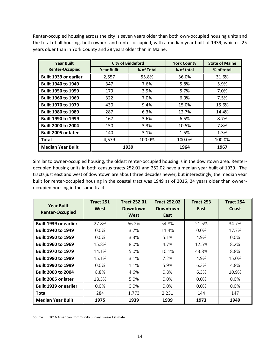Renter-occupied housing across the city is seven years older than both own-occupied housing units and the total of all housing, both owner- and renter-occupied, with a median year built of 1939, which is 25 years older than in York County and 28 years older than in Maine.

| <b>Year Built</b>          |                   | <b>City of Biddeford</b> | <b>York County</b> | <b>State of Maine</b> |
|----------------------------|-------------------|--------------------------|--------------------|-----------------------|
| <b>Renter-Occupied</b>     | <b>Year Built</b> | % of Total               | % of total         | % of total            |
| Built 1939 or earlier      | 2,557             | 55.8%                    | 36.0%              | 31.6%                 |
| <b>Built 1940 to 1949</b>  | 347               | 7.6%                     | 5.8%               | 5.9%                  |
| <b>Built 1950 to 1959</b>  | 179               | 3.9%                     | 5.7%               | 7.0%                  |
| <b>Built 1960 to 1969</b>  | 322               | 7.0%                     | 6.0%               | 7.5%                  |
| <b>Built 1970 to 1979</b>  | 430               | 9.4%                     | 15.0%              | 15.6%                 |
| <b>Built 1980 to 1989</b>  | 287               | 6.3%                     | 12.7%              | 14.4%                 |
| <b>Built 1990 to 1999</b>  | 167               | 3.6%                     | 6.5%               | 8.7%                  |
| <b>Built 2000 to 2004</b>  | 150               | 3.3%                     | 10.5%              | 7.8%                  |
| <b>Built 2005 or later</b> | 140               | 3.1%                     | 1.5%               | 1.3%                  |
| <b>Total</b>               | 4,579             | 100.0%                   | 100.0%             | 100.0%                |
| <b>Median Year Built</b>   |                   | 1939                     | 1964               | 1967                  |

Similar to owner-occupied housing, the oldest renter-occupied housing is in the downtown area. Renteroccupied housing units in both census tracts 252.01 and 252.02 have a median year built of 1939. The tracts just east and west of downtown are about three decades newer, but interestingly, the median year built for renter-occupied housing in the coastal tract was 1949 as of 2016, 24 years older than owneroccupied housing in the same tract.

| <b>Year Built</b>            | Tract 251 | <b>Tract 252.01</b> | <b>Tract 252.02</b> | <b>Tract 253</b> | <b>Tract 254</b> |
|------------------------------|-----------|---------------------|---------------------|------------------|------------------|
| <b>Renter-Occupied</b>       | West      | <b>Downtown</b>     | <b>Downtown</b>     | East             | Coast            |
|                              |           | West                | East                |                  |                  |
| <b>Built 1939 or earlier</b> | 27.8%     | 66.2%               | 54.8%               | 21.5%            | 34.7%            |
| <b>Built 1940 to 1949</b>    | $0.0\%$   | 3.7%                | 11.4%               | $0.0\%$          | 17.7%            |
| <b>Built 1950 to 1959</b>    | $0.0\%$   | 3.3%                | 5.1%                | 4.9%             | $0.0\%$          |
| <b>Built 1960 to 1969</b>    | 15.8%     | 8.0%                | 4.7%                | 12.5%            | 8.2%             |
| <b>Built 1970 to 1979</b>    | 14.1%     | 5.0%                | 10.1%               | 43.8%            | 8.8%             |
| <b>Built 1980 to 1989</b>    | 15.1%     | 3.1%                | 7.2%                | 4.9%             | 15.0%            |
| <b>Built 1990 to 1999</b>    | $0.0\%$   | 1.1%                | 5.9%                | 6.3%             | 4.8%             |
| <b>Built 2000 to 2004</b>    | 8.8%      | 4.6%                | 0.8%                | 6.3%             | 10.9%            |
| <b>Built 2005 or later</b>   | 18.3%     | 5.0%                | $0.0\%$             | $0.0\%$          | $0.0\%$          |
| <b>Built 1939 or earlier</b> | $0.0\%$   | $0.0\%$             | $0.0\%$             | $0.0\%$          | $0.0\%$          |
| <b>Total</b>                 | 284       | 1,773               | 2,231               | 144              | 147              |
| <b>Median Year Built</b>     | 1975      | 1939                | 1939                | 1973             | 1949             |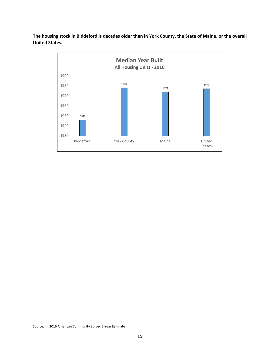**The housing stock in Biddeford is decades older than in York County, the State of Maine, or the overall United States.** 

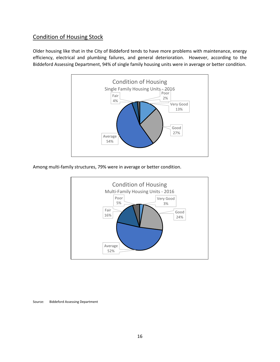## Condition of Housing Stock

Older housing like that in the City of Biddeford tends to have more problems with maintenance, energy efficiency, electrical and plumbing failures, and general deterioration. However, according to the Biddeford Assessing Department, 94% of single family housing units were in average or better condition.



Among multi-family structures, 79% were in average or better condition.



Source: Biddeford Assessing Department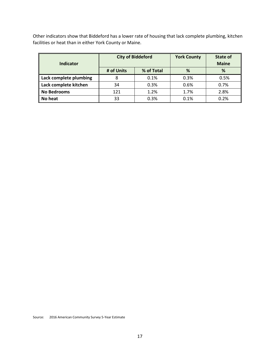Other indicators show that Biddeford has a lower rate of housing that lack complete plumbing, kitchen facilities or heat than in either York County or Maine.

| Indicator              |            | <b>City of Biddeford</b> | <b>York County</b> | State of<br><b>Maine</b> |
|------------------------|------------|--------------------------|--------------------|--------------------------|
|                        | # of Units | % of Total               | %                  | %                        |
| Lack complete plumbing | 8          | 0.1%                     | 0.3%               | 0.5%                     |
| Lack complete kitchen  | 34         | 0.3%                     | 0.6%               | 0.7%                     |
| <b>No Bedrooms</b>     | 121        | 1.2%                     | 1.7%               | 2.8%                     |
| No heat                | 33         | 0.3%                     | 0.1%               | 0.2%                     |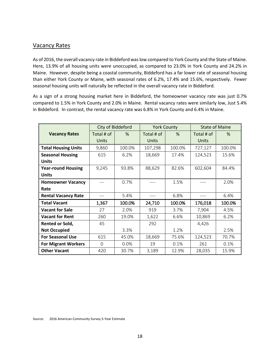#### Vacancy Rates

As of 2016, the overall vacancy rate in Biddeford was low compared to York County and the State of Maine. Here, 13.9% of all housing units were unoccupied, as compared to 23.0% in York County and 24.2% in Maine. However, despite being a coastal community, Biddeford has a far lower rate of seasonal housing than either York County or Maine, with seasonal rates of 6.2%, 17.4% and 15.6%, respectively. Fewer seasonal housing units will naturally be reflected in the overall vacancy rate in Biddeford.

As a sign of a strong housing market here in Biddeford, the homeowner vacancy rate was just 0.7% compared to 1.5% in York County and 2.0% in Maine. Rental vacancy rates were similarly low, Just 5.4% in Biddeford. In contrast, the rental vacancy rate was 6.8% in York County and 6.4% in Maine.

|                            | City of Biddeford |        | <b>York County</b> |        | <b>State of Maine</b> |        |
|----------------------------|-------------------|--------|--------------------|--------|-----------------------|--------|
| <b>Vacancy Rates</b>       | Total # of        | %      | Total # of         | %      | Total # of            | %      |
|                            | Units             |        | <b>Units</b>       |        | Units                 |        |
| <b>Total Housing Units</b> | 9,860             | 100.0% | 107,298            | 100.0% | 727,127               | 100.0% |
| <b>Seasonal Housing</b>    | 615               | 6.2%   | 18,669             | 17.4%  | 124,523               | 15.6%  |
| <b>Units</b>               |                   |        |                    |        |                       |        |
| <b>Year-round Housing</b>  | 9,245             | 93.8%  | 88,629             | 82.6%  | 602,604               | 84.4%  |
| <b>Units</b>               |                   |        |                    |        |                       |        |
| <b>Homeowner Vacancy</b>   |                   | 0.7%   |                    | 1.5%   |                       | 2.0%   |
| Rate                       |                   |        |                    |        |                       |        |
| <b>Rental Vacancy Rate</b> | $---$             | 5.4%   | ----               | 6.8%   |                       | 6.4%   |
| <b>Total Vacant</b>        | 1,367             | 100.0% | 24,710             | 100.0% | 176,018               | 100.0% |
| <b>Vacant for Sale</b>     | 27                | 2.0%   | 919                | 3.7%   | 7,904                 | 4.5%   |
| <b>Vacant for Rent</b>     | 260               | 19.0%  | 1,622              | 6.6%   | 10,869                | 6.2%   |
| Rented or Sold,            | 45                |        | 292                |        | 4,426                 |        |
| <b>Not Occupied</b>        |                   | 3.3%   |                    | 1.2%   |                       | 2.5%   |
| <b>For Seasonal Use</b>    | 615               | 45.0%  | 18,669             | 75.6%  | 124,523               | 70.7%  |
| <b>For Migrant Workers</b> | $\Omega$          | 0.0%   | 19                 | 0.1%   | 261                   | 0.1%   |
| <b>Other Vacant</b>        | 420               | 30.7%  | 3,189              | 12.9%  | 28,035                | 15.9%  |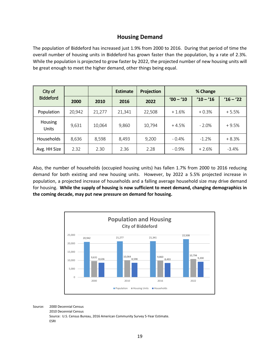## **Housing Demand**

The population of Biddeford has increased just 1.9% from 2000 to 2016. During that period of time the overall number of housing units in Biddeford has grown faster than the population, by a rate of 2.3%. While the population is projected to grow faster by 2022, the projected number of new housing units will be great enough to meet the higher demand, other things being equal.

| City of                 |        |        | <b>Estimate</b> | Projection |             | % Change    |             |
|-------------------------|--------|--------|-----------------|------------|-------------|-------------|-------------|
| <b>Biddeford</b>        | 2000   | 2010   | 2016            | 2022       | $'00 - '10$ | $'10 - '16$ | $'16 - '22$ |
| Population              | 20,942 | 21,277 | 21,341          | 22,508     | $+1.6%$     | $+0.3%$     | $+5.5%$     |
| <b>Housing</b><br>Units | 9,631  | 10,064 | 9,860           | 10,794     | $+4.5%$     | $-2.0%$     | $+9.5%$     |
| Households              | 8,636  | 8,598  | 8,493           | 9,200      | $-0.4%$     | $-1.2%$     | $+8.3%$     |
| Avg. HH Size            | 2.32   | 2.30   | 2.36            | 2.28       | $-0.9%$     | $+2.6%$     | $-3.4%$     |

Also, the number of households (occupied housing units) has fallen 1.7% from 2000 to 2016 reducing demand for both existing and new housing units. However, by 2022 a 5.5% projected increase in population, a projected increase of households and a falling average household size may drive demand for housing. **While the supply of housing is now sufficient to meet demand, changing demographics in the coming decade, may put new pressure on demand for housing.**



Source: 2000 Decennial Census 2010 Decennial Census Source: U.S. Census Bureau, 2016 American Community Survey 5-Year Estimate. ESRI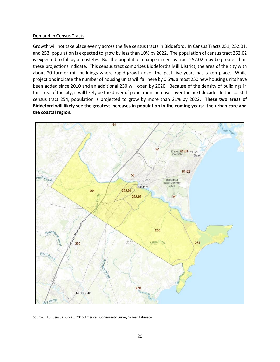#### Demand in Census Tracts

Growth will not take place evenly across the five census tracts in Biddeford. In Census Tracts 251, 252.01, and 253, population is expected to grow by less than 10% by 2022. The population of census tract 252.02 is expected to fall by almost 4%. But the population change in census tract 252.02 may be greater than these projections indicate. This census tract comprises Biddeford's Mill District, the area of the city with about 20 former mill buildings where rapid growth over the past five years has taken place. While projections indicate the number of housing units will fall here by 0.6%, almost 250 new housing units have been added since 2010 and an additional 230 will open by 2020. Because of the density of buildings in this area of the city, it will likely be the driver of population increases over the next decade. In the coastal census tract 254, population is projected to grow by more than 21% by 2022. **These two areas of Biddeford will likely see the greatest increases in population in the coming years: the urban core and the coastal region.** 



Source: U.S. Census Bureau, 2016 American Community Survey 5-Year Estimate.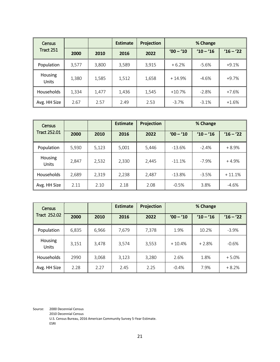| <b>Census</b>                  |       |       | <b>Estimate</b> | Projection |             | % Change    |           |
|--------------------------------|-------|-------|-----------------|------------|-------------|-------------|-----------|
| Tract 251                      | 2000  | 2010  | 2016            | 2022       | $'00 - '10$ | $'10 - '16$ | $16 - 22$ |
| Population                     | 3,577 | 3,800 | 3,589           | 3,915      | $+6.2%$     | $-5.6%$     | $+9.1%$   |
| <b>Housing</b><br><b>Units</b> | 1,380 | 1,585 | 1,512           | 1,658      | $+14.9%$    | $-4.6%$     | $+9.7%$   |
| Households                     | 1,334 | 1,477 | 1,436           | 1,545      | $+10.7%$    | $-2.8%$     | $+7.6%$   |
| Avg. HH Size                   | 2.67  | 2.57  | 2.49            | 2.53       | $-3.7%$     | $-3.1%$     | $+1.6%$   |

| Census                  |       |       | <b>Estimate</b> | Projection |             | % Change    |             |
|-------------------------|-------|-------|-----------------|------------|-------------|-------------|-------------|
| <b>Tract 252.01</b>     | 2000  | 2010  | 2016            | 2022       | $'00 - '10$ | $'10 - '16$ | $'16 - '22$ |
| Population              | 5,930 | 5,123 | 5,001           | 5,446      | $-13.6\%$   | $-2.4%$     | $+8.9%$     |
| Housing<br><b>Units</b> | 2,847 | 2,532 | 2,330           | 2,445      | $-11.1%$    | $-7.9%$     | $+4.9%$     |
| Households              | 2,689 | 2,319 | 2,238           | 2,487      | $-13.8%$    | $-3.5%$     | $+11.1%$    |
| Avg. HH Size            | 2.11  | 2.10  | 2.18            | 2.08       | $-0.5%$     | 3.8%        | $-4.6%$     |

| <b>Census</b>           |       |       | <b>Estimate</b> | Projection |             | % Change    |             |
|-------------------------|-------|-------|-----------------|------------|-------------|-------------|-------------|
| <b>Tract 252.02</b>     | 2000  | 2010  | 2016            | 2022       | $'00 - '10$ | $'10 - '16$ | $'16 - '22$ |
| Population              | 6,835 | 6,966 | 7,679           | 7,378      | 1.9%        | 10.2%       | $-3.9%$     |
| Housing<br><b>Units</b> | 3,151 | 3,478 | 3,574           | 3,553      | $+10.4%$    | $+2.8%$     | $-0.6%$     |
| Households              | 2990  | 3,068 | 3,123           | 3,280      | 2.6%        | 1.8%        | $+5.0%$     |
| Avg. HH Size            | 2.28  | 2.27  | 2.45            | 2.25       | $-0.4%$     | 7.9%        | $+8.2%$     |

Source: 2000 Decennial Census

2010 Decennial Census

U.S. Census Bureau, 2016 American Community Survey 5-Year Estimate. ESRI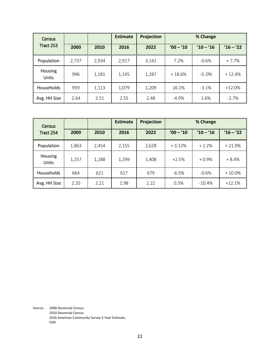| Census                         |       |       | <b>Estimate</b> | Projection |             | % Change    |             |
|--------------------------------|-------|-------|-----------------|------------|-------------|-------------|-------------|
| Tract 253                      | 2000  | 2010  | 2016            | 2022       | $'00 - '10$ | $'10 - '16$ | $'16 - '22$ |
| Population                     | 2,737 | 2,934 | 2,917           | 3,141      | 7.2%        | $-0.6%$     | $+7.7%$     |
| <b>Housing</b><br><b>Units</b> | 996   | 1,181 | 1,145           | 1,287      | $+18.6%$    | $-3.0%$     | $+12.4%$    |
| <b>Households</b>              | 959   | 1,113 | 1,079           | 1,209      | 16.1%       | $-3.1%$     | $+12.0%$    |
| Avg. HH Size                   | 2.64  | 2.51  | 2.55            | 2.48       | $-4.9%$     | 1.6%        | $-2.7%$     |

| Census                  |       |       | <b>Estimate</b> | <b>Projection</b> |             | % Change    |             |
|-------------------------|-------|-------|-----------------|-------------------|-------------|-------------|-------------|
| Tract 254               | 2000  | 2010  | 2016            | 2022              | $'00 - '10$ | $'10 - '16$ | $'16 - '22$ |
| Population              | 1,863 | 2,454 | 2,155           | 2,628             | $+3.12%$    | $+1.2%$     | $+21.9%$    |
| <b>Housing</b><br>Units | 1,257 | 1,288 | 1,299           | 1,408             | $+2.5%$     | $+0.9%$     | $+8.4%$     |
| Households              | 664   | 621   | 617             | 679               | $-6.5%$     | $-0.6%$     | $+10.0\%$   |
| Avg. HH Size            | 2.20  | 2.21  | 1.98            | 2.22              | 0.5%        | $-10.4%$    | $+12.1%$    |

Source: 2000 Decennial Census 2010 Decennial Census 2016 American Community Survey 5-Year Estimate. ESRI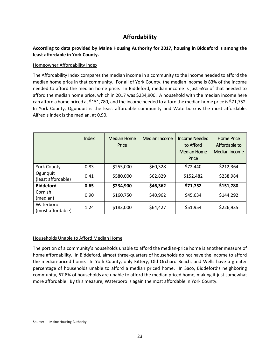## **Affordability**

#### **According to data provided by Maine Housing Authority for 2017, housing in Biddeford is among the least affordable in York County.**

#### Homeowner Affordability Index

The Affordability Index compares the median income in a community to the income needed to afford the median home price in that community. For all of York County, the median income is 83% of the income needed to afford the median home price. In Biddeford, median income is just 65% of that needed to afford the median home price, which in 2017 was \$234,900. A household with the median income here can afford a home priced at \$151,780, and the income needed to afford the median home price is \$71,752. In York County, Ogunquit is the least affordable community and Waterboro is the most affordable. Alfred's index is the median, at 0.90.

|                                | Index | Median Home<br>Price | <b>Median Income</b> | <b>Income Needed</b><br>to Afford<br><b>Median Home</b><br>Price | Home Price<br>Affordable to<br>Median Income |
|--------------------------------|-------|----------------------|----------------------|------------------------------------------------------------------|----------------------------------------------|
| <b>York County</b>             | 0.83  | \$255,000            | \$60,328             | \$72,440                                                         | \$212,364                                    |
| Ogunquit<br>(least affordable) | 0.41  | \$580,000            | \$62,829             | \$152,482                                                        | \$238,984                                    |
| <b>Biddeford</b>               | 0.65  | \$234,900            | \$46,362             | \$71,752                                                         | \$151,780                                    |
| Cornish<br>(median)            | 0.90  | \$160,750            | \$40,962             | \$45,634                                                         | \$144,292                                    |
| Waterboro<br>(most affordable) | 1.24  | \$183,000            | \$64,427             | \$51,954                                                         | \$226,935                                    |

#### Households Unable to Afford Median Home

The portion of a community's households unable to afford the median-price home is another measure of home affordability. In Biddeford, almost three-quarters of households do not have the income to afford the median-priced home. In York County, only Kittery, Old Orchard Beach, and Wells have a greater percentage of households unable to afford a median priced home. In Saco, Biddeford's neighboring community, 67.8% of households are unable to afford the median priced home, making it just somewhat more affordable. By this measure, Waterboro is again the most affordable in York County.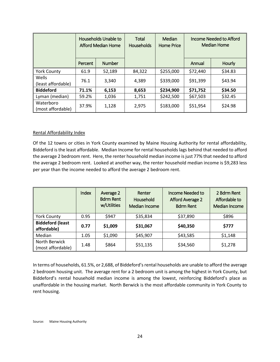|                                | Households Unable to<br>Afford Median Home |               | Total<br><b>Households</b> | Median<br><b>Home Price</b> | Income Needed to Afford<br><b>Median Home</b> |         |
|--------------------------------|--------------------------------------------|---------------|----------------------------|-----------------------------|-----------------------------------------------|---------|
|                                | Percent                                    | <b>Number</b> |                            |                             | Annual                                        | Hourly  |
| <b>York County</b>             | 61.9                                       | 52,189        | 84,322                     | \$255,000                   | \$72,440                                      | \$34.83 |
| Wells<br>(least affordable)    | 76.1                                       | 3,340         | 4,389                      | \$339,000                   | \$91,399                                      | \$43.94 |
| <b>Biddeford</b>               | 71.1%                                      | 6,153         | 8,653                      | \$234,900                   | \$71,752                                      | \$34.50 |
| Lyman (median)                 | 59.2%                                      | 1,036         | 1,751                      | \$242,500                   | \$67,503                                      | \$32.45 |
| Waterboro<br>(most affordable) | 37.9%                                      | 1,128         | 2,975                      | \$183,000                   | \$51,954                                      | \$24.98 |

#### Rental Affordability Index

Of the 12 towns or cities in York County examined by Maine Housing Authority for rental affordability, Biddeford is the least affordable. Median Income for rental households lags behind that needed to afford the average 2 bedroom rent. Here, the renter household median income is just 77% that needed to afford the average 2 bedroom rent. Looked at another way, the renter household median income is \$9,283 less per year than the income needed to afford the average 2 bedroom rent.

|                                        | Index | Average 2<br><b>Bdrm Rent</b><br>w/Utilities | Renter<br>Household<br>Median Income | Income Needed to<br><b>Afford Average 2</b><br><b>Bdrm Rent</b> | 2 Bdrm Rent<br>Affordable to<br>Median Income |
|----------------------------------------|-------|----------------------------------------------|--------------------------------------|-----------------------------------------------------------------|-----------------------------------------------|
| <b>York County</b>                     | 0.95  | \$947                                        | \$35,834                             | \$37,890                                                        | \$896                                         |
| <b>Biddeford (least</b><br>affordable) | 0.77  | \$1,009                                      | \$31,067                             | \$40,350                                                        | \$777                                         |
| Median                                 | 1.05  | \$1,090                                      | \$45,907                             | \$43,585                                                        | \$1,148                                       |
| North Berwick<br>(most affordable)     | 1.48  | \$864                                        | \$51,135                             | \$34,560                                                        | \$1,278                                       |

In terms of households, 61.5%, or 2,688, of Biddeford's rental households are unable to afford the average 2 bedroom housing unit. The average rent for a 2 bedroom unit is among the highest in York County, but Biddeford's rental household median income is among the lowest, reinforcing Biddeford's place as unaffordable in the housing market. North Berwick is the most affordable community in York County to rent housing.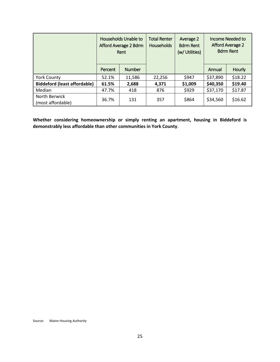|                                     | Households Unable to<br>Afford Average 2 Bdrm<br>Rent |               | <b>Total Renter</b><br><b>Households</b> | Average 2<br><b>Bdrm Rent</b><br>(w/ Utilities) | <b>Income Needed to</b><br><b>Afford Average 2</b><br><b>Bdrm Rent</b> |               |
|-------------------------------------|-------------------------------------------------------|---------------|------------------------------------------|-------------------------------------------------|------------------------------------------------------------------------|---------------|
|                                     | Percent                                               | <b>Number</b> |                                          |                                                 | Annual                                                                 | <b>Hourly</b> |
| <b>York County</b>                  | 52.1%                                                 | 11,586        | 22,256                                   | \$947                                           | \$37,890                                                               | \$18.22       |
| <b>Biddeford (least affordable)</b> | 61.5%                                                 | 2,688         | 4,371                                    | \$1,009                                         | \$40,350                                                               | \$19.40       |
| Median                              | 47.7%                                                 | 418           | 876                                      | \$929                                           | \$37,170                                                               | \$17.87       |
| North Berwick<br>(most affordable)  | 36.7%                                                 | 131           | 357                                      | \$864                                           | \$34,560                                                               | \$16.62       |

**Whether considering homeownership or simply renting an apartment, housing in Biddeford is demonstrably less affordable than other communities in York County**.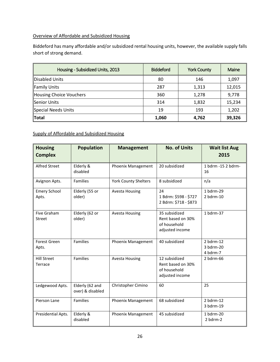#### Overview of Affordable and Subsidized Housing

Biddeford has many affordable and/or subsidized rental housing units, however, the available supply falls short of strong demand.

| Housing - Subsidized Units, 2013 | <b>Biddeford</b> | <b>York County</b> | Maine  |
|----------------------------------|------------------|--------------------|--------|
| <b>Disabled Units</b>            | 80               | 146                | 1,097  |
| <b>Family Units</b>              | 287              | 1,313              | 12,015 |
| <b>Housing Choice Vouchers</b>   | 360              | 1,278              | 9,778  |
| <b>Senior Units</b>              | 314              | 1,832              | 15,234 |
| Special Needs Units              | 19               | 193                | 1,202  |
| Total                            | 1,060            | 4,762              | 39,326 |

#### Supply of Affordable and Subsidized Housing

| <b>Housing</b><br><b>Complex</b> | <b>Population</b>                   | <b>Management</b>           | <b>No. of Units</b>                                                   | <b>Wait list Aug</b><br>2015         |
|----------------------------------|-------------------------------------|-----------------------------|-----------------------------------------------------------------------|--------------------------------------|
| <b>Alfred Street</b>             | Elderly &<br>disabled               | Phoenix Management          | 20 subsidized                                                         | 1 bdrm -15 2 bdrm-<br>16             |
| Avignon Apts.                    | Families                            | <b>York County Shelters</b> | 8 subsidized                                                          | n/a                                  |
| <b>Emery School</b><br>Apts.     | Elderly (55 or<br>older)            | <b>Avesta Housing</b>       | 24<br>1 Bdrm: \$598 - \$727<br>2 Bdrm: \$718 - \$873                  | 1 bdrm-29<br>$2$ bdrm- $10$          |
| Five Graham<br><b>Street</b>     | Elderly (62 or<br>older)            | <b>Avesta Housing</b>       | 35 subsidized<br>Rent based on 30%<br>of household<br>adjusted income | 1 bdrm-37                            |
| Forest Green<br>Apts.            | <b>Families</b>                     | Phoenix Management          | 40 subsidized                                                         | $2$ bdrm-12<br>3 bdrm-20<br>4 bdrm-7 |
| <b>Hill Street</b><br>Terrace    | <b>Families</b>                     | <b>Avesta Housing</b>       | 12 subsidized<br>Rent based on 30%<br>of household<br>adjusted income | 2 bdrm-66                            |
| Ledgewood Apts.                  | Elderly (62 and<br>over) & disabled | Christopher Cimino          | 60                                                                    | 25                                   |
| Pierson Lane                     | <b>Families</b>                     | Phoenix Management          | 68 subsidized                                                         | $2$ bdrm-12<br>3 bdrm-19             |
| Presidential Apts.               | Elderly &<br>disabled               | Phoenix Management          | 45 subsidized                                                         | 1 bdrm-20<br>2 bdrm-2                |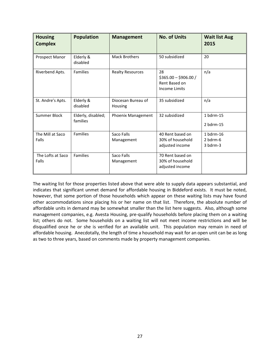| <b>Housing</b><br><b>Complex</b> | <b>Population</b>              | <b>Management</b>             | <b>No. of Units</b>                                                  | <b>Wait list Aug</b><br>2015        |
|----------------------------------|--------------------------------|-------------------------------|----------------------------------------------------------------------|-------------------------------------|
| Prospect Manor                   | Elderly &<br>disabled          | <b>Mack Brothers</b>          | 50 subsidized                                                        | 20                                  |
| Riverbend Apts.                  | Families                       | <b>Realty Resources</b>       | 28<br>$$365.00 - $906.00 /$<br>Rent Based on<br><b>Income Limits</b> | n/a                                 |
| St. Andre's Apts.                | Elderly &<br>disabled          | Diocesan Bureau of<br>Housing | 35 subsidized                                                        | n/a                                 |
| Summer Block                     | Elderly, disabled;<br>families | Phoenix Management            | 32 subsidized                                                        | 1 bdrm-15<br>2 bdrm-15              |
| The Mill at Saco<br>Falls        | Families                       | Saco Falls<br>Management      | 40 Rent based on<br>30% of household<br>adjusted income              | 1 bdrm-16<br>$2$ bdrm-6<br>3 bdrm-3 |
| The Lofts at Saco<br>Falls       | <b>Families</b>                | Saco Falls<br>Management      | 70 Rent based on<br>30% of household<br>adjusted income              |                                     |

The waiting list for those properties listed above that were able to supply data appears substantial, and indicates that significant unmet demand for affordable housing in Biddeford exists. It must be noted, however, that some portion of those households which appear on these waiting lists may have found other accommodations since placing his or her name on that list. Therefore, the absolute number of affordable units in demand may be somewhat smaller than the list here suggests. Also, although some management companies, e.g. Avesta Housing, pre-qualify households before placing them on a waiting list; others do not. Some households on a waiting list will not meet income restrictions and will be disqualified once he or she is verified for an available unit. This population may remain in need of affordable housing. Anecdotally, the length of time a household may wait for an open unit can be as long as two to three years, based on comments made by property management companies.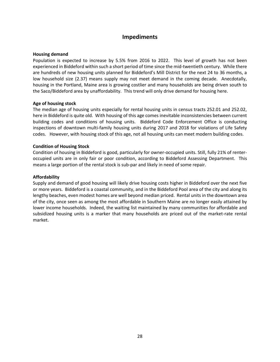#### **Impediments**

#### **Housing demand**

Population is expected to increase by 5.5% from 2016 to 2022. This level of growth has not been experienced in Biddeford within such a short period of time since the mid-twentieth century. While there are hundreds of new housing units planned for Biddeford's Mill District for the next 24 to 36 months, a low household size (2.37) means supply may not meet demand in the coming decade. Anecdotally, housing in the Portland, Maine area is growing costlier and many households are being driven south to the Saco/Biddeford area by unaffordability. This trend will only drive demand for housing here.

#### **Age of housing stock**

The median age of housing units especially for rental housing units in census tracts 252.01 and 252.02, here in Biddeford is quite old. With housing of this age comes inevitable inconsistencies between current building codes and conditions of housing units. Biddeford Code Enforcement Office is conducting inspections of downtown multi-family housing units during 2017 and 2018 for violations of Life Safety codes. However, with housing stock of this age, not all housing units can meet modern building codes.

#### **Condition of Housing Stock**

Condition of housing in Biddeford is good, particularly for owner-occupied units. Still, fully 21% of renteroccupied units are in only fair or poor condition, according to Biddeford Assessing Department. This means a large portion of the rental stock is sub-par and likely in need of some repair.

#### **Affordability**

Supply and demand of good housing will likely drive housing costs higher in Biddeford over the next five or more years. Biddeford is a coastal community, and in the Biddeford Pool area of the city and along its lengthy beaches, even modest homes are well beyond median priced. Rental units in the downtown area of the city, once seen as among the most affordable in Southern Maine are no longer easily attained by lower income households. Indeed, the waiting list maintained by many communities for affordable and subsidized housing units is a marker that many households are priced out of the market-rate rental market.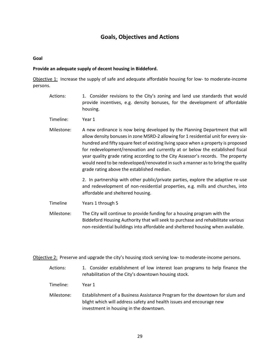## **Goals, Objectives and Actions**

#### **Goal**

#### **Provide an adequate supply of decent housing in Biddeford.**

Objective 1: Increase the supply of safe and adequate affordable housing for low- to moderate-income persons.

- Actions: 1. Consider revisions to the City's zoning and land use standards that would provide incentives, e.g. density bonuses, for the development of affordable housing.
- Timeline: Year 1
- Milestone: A new ordinance is now being developed by the Planning Department that will allow density bonuses in zone MSRD-2 allowing for 1 residential unit for every sixhundred and fifty square feet of existing living space when a property is proposed for redevelopment/renovation and currently at or below the established fiscal year quality grade rating according to the City Assessor's records. The property would need to be redeveloped/renovated in such a manner as to bring the quality grade rating above the established median.

2. In partnership with other public/private parties, explore the adaptive re-use and redevelopment of non-residential properties, e.g. mills and churches, into affordable and sheltered housing.

Timeline Years 1 through 5

Milestone: The City will continue to provide funding for a housing program with the Biddeford Housing Authority that will seek to purchase and rehabilitate various non-residential buildings into affordable and sheltered housing when available.

Objective 2: Preserve and upgrade the city's housing stock serving low- to moderate-income persons.

- Actions: 1. Consider establishment of low interest loan programs to help finance the rehabilitation of the City's downtown housing stock.
- Timeline: Year 1
- Milestone: Establishment of a Business Assistance Program for the downtown for slum and blight which will address safety and health issues and encourage new investment in housing in the downtown.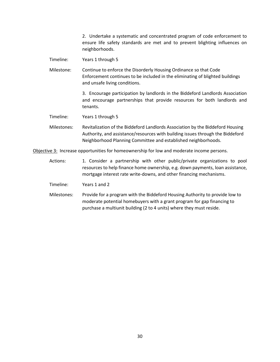2. Undertake a systematic and concentrated program of code enforcement to ensure life safety standards are met and to prevent blighting influences on neighborhoods.

Timeline: Years 1 through 5

Milestone: Continue to enforce the Disorderly Housing Ordinance so that Code Enforcement continues to be included in the eliminating of blighted buildings and unsafe living conditions.

> 3. Encourage participation by landlords in the Biddeford Landlords Association and encourage partnerships that provide resources for both landlords and tenants.

Timeline: Years 1 through 5

Milestones: Revitalization of the Biddeford Landlords Association by the Biddeford Housing Authority, and assistance/resources with building issues through the Biddeford Neighborhood Planning Committee and established neighborhoods.

Objective 3: Increase opportunities for homeownership for low and moderate income persons.

Actions: 1. Consider a partnership with other public/private organizations to pool resources to help finance home ownership, e.g. down payments, loan assistance, mortgage interest rate write-downs, and other financing mechanisms.

Timeline: Years 1 and 2

Milestones: Provide for a program with the Biddeford Housing Authority to provide low to moderate potential homebuyers with a grant program for gap financing to purchase a multiunit building (2 to 4 units) where they must reside.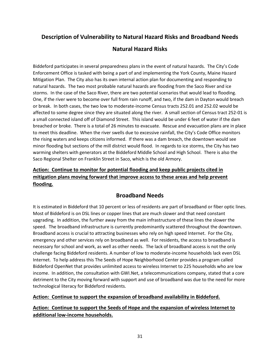## **Description of Vulnerability to Natural Hazard Risks and Broadband Needs**

## **Natural Hazard Risks**

Biddeford participates in several preparedness plans in the event of natural hazards. The City's Code Enforcement Office is tasked with being a part of and implementing the York County, Maine Hazard Mitigation Plan. The City also has its own internal action plan for documenting and responding to natural hazards. The two most probable natural hazards are flooding from the Saco River and ice storms. In the case of the Saco River, there are two potential scenarios that would lead to flooding. One, if the river were to become over full from rain runoff, and two, if the dam in Dayton would breach or break. In both cases, the two low to moderate-income Census tracts 252.01 and 252.02 would be affected to some degree since they are situated along the river. A small section of Census tract 252-01 is a small connected island off of Diamond Street. This island would be under 6 feet of water if the dam breached or broke. There is a total of 26 minutes to evacuate. Rescue and evacuation plans are in place to meet this deadline. When the river swells due to excessive rainfall, the City's Code Office monitors the rising waters and keeps citizens informed. If there was a dam breach, the downtown would see minor flooding but sections of the mill district would flood. In regards to ice storms, the City has two warming shelters with generators at the Biddeford Middle School and High School. There is also the Saco Regional Shelter on Franklin Street in Saco, which is the old Armory.

## **Action: Continue to monitor for potential flooding and keep public projects cited in mitigation plans moving forward that improve access to these areas and help prevent flooding.**

## **Broadband Needs**

It is estimated in Biddeford that 10 percent or less of residents are part of broadband or fiber optic lines. Most of Biddeford is on DSL lines or copper lines that are much slower and that need constant upgrading. In addition, the further away from the main infrastructure of these lines the slower the speed. The broadband infrastructure is currently predominantly scattered throughout the downtown. Broadband access is crucial to attracting businesses who rely on high speed Internet. For the City, emergency and other services rely on broadband as well. For residents, the access to broadband is necessary for school and work, as well as other needs. The lack of broadband access is not the only challenge facing Biddeford residents. A number of low to moderate-income households lack even DSL Internet. To help address this The Seeds of Hope Neighborhood Center provides a program called Biddeford OpenNet that provides unlimited access to wireless Internet to 225 households who are low income. In addition, the consultation with GWI.Net, a telecommunications company, stated that a core detriment to the City moving forward with support and use of broadband was due to the need for more technological literacy for Biddeford residents.

#### **Action: Continue to support the expansion of broadband availability in Biddeford.**

## **Action: Continue to support the Seeds of Hope and the expansion of wireless Internet to additional low-income households.**